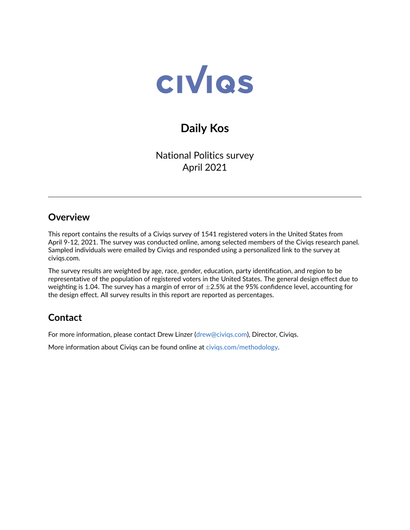

# **Daily Kos**

National Politics survey April 2021

## **Overview**

This report contains the results of a Civiqs survey of 1541 registered voters in the United States from April 9-12, 2021. The survey was conducted online, among selected members of the Civiqs research panel. Sampled individuals were emailed by Civiqs and responded using a personalized link to the survey at civiqs.com.

The survey results are weighted by age, race, gender, education, party identification, and region to be representative of the population of registered voters in the United States. The general design effect due to weighting is 1.04. The survey has a margin of error of  $\pm 2.5\%$  at the 95% confidence level, accounting for the design effect. All survey results in this report are reported as percentages.

## **Contact**

For more information, please contact Drew Linzer [\(drew@civiqs.com\)](mailto:drew@civiqs.com), Director, Civiqs.

More information about Civiqs can be found online at [civiqs.com/methodology.](https://civiqs.com/methodology)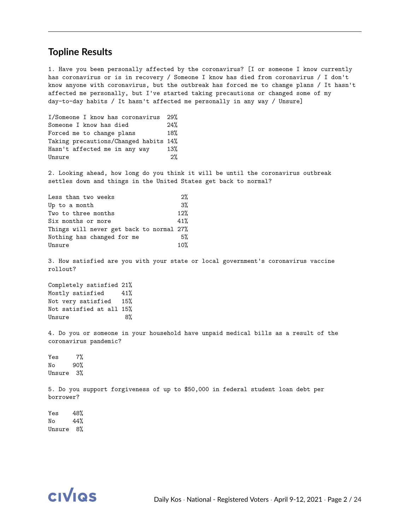#### **Topline Results**

1. Have you been personally affected by the coronavirus? [I or someone I know currently has coronavirus or is in recovery / Someone I know has died from coronavirus / I don't know anyone with coronavirus, but the outbreak has forced me to change plans / It hasn't affected me personally, but I've started taking precautions or changed some of my day-to-day habits / It hasn't affected me personally in any way / Unsure]

| I/Someone I know has coronavirus      | 29%   |
|---------------------------------------|-------|
| Someone I know has died               | 24%   |
| Forced me to change plans             | 18%   |
| Taking precautions/Changed habits 14% |       |
| Hasn't affected me in any way         | 13%   |
| Unsure                                | $2\%$ |

2. Looking ahead, how long do you think it will be until the coronavirus outbreak settles down and things in the United States get back to normal?

| 2%                                       |
|------------------------------------------|
| $3\%$                                    |
| 12%                                      |
| 41%                                      |
| Things will never get back to normal 27% |
| 5%                                       |
| 10%                                      |
|                                          |

3. How satisfied are you with your state or local government's coronavirus vaccine rollout?

Completely satisfied 21% Mostly satisfied 41% Not very satisfied 15% Not satisfied at all 15% Unsure 8%

4. Do you or someone in your household have unpaid medical bills as a result of the coronavirus pandemic?

Yes 7% No 90% Unsure 3%

5. Do you support forgiveness of up to \$50,000 in federal student loan debt per borrower?

Yes 48% No 44% Unsure 8%

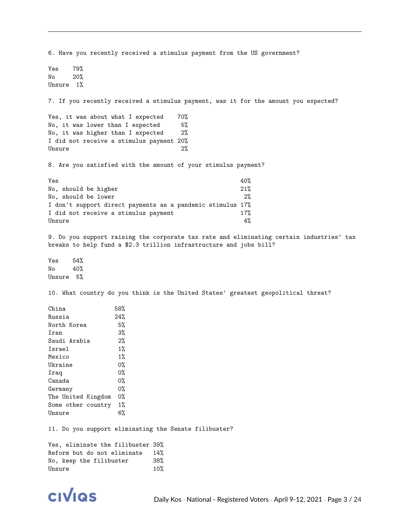6. Have you recently received a stimulus payment from the US government? Yes 79% No 20% Unsure 1% 7. If you recently received a stimulus payment, was it for the amount you expected? Yes, it was about what I expected 70% No, it was lower than I expected 5% No, it was higher than I expected 2% I did not receive a stimulus payment 20% Unsure 2% 8. Are you satisfied with the amount of your stimulus payment?  $Yes$  40% No, should be higher  $21%$ No, should be lower 2% I don't support direct payments as a pandemic stimulus 17% I did not receive a stimulus payment 17%  $Unsure$ 9. Do you support raising the corporate tax rate and eliminating certain industries' tax breaks to help fund a \$2.3 trillion infrastructure and jobs bill? Yes 54% No 40% Unsure 5% 10. What country do you think is the United States' greatest geopolitical threat? China 58% Russia 24% North Korea 5% Iran 3% Saudi Arabia 2% Israel 1% Mexico 1% Ukraine 0% Iraq 0% Canada 0% Germany 0% The United Kingdom 0% Some other country 1% Unsure 6% 11. Do you support eliminating the Senate filibuster? Yes, eliminate the filibuster 39% Reform but do not eliminate 14% No, keep the filibuster 38% Unsure 10%

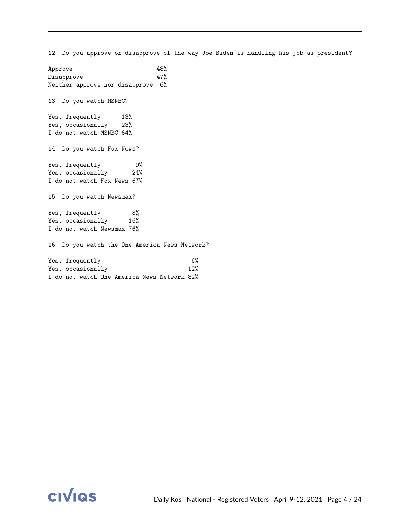Approve 48% Disapprove 47% Neither approve nor disapprove 6% 13. Do you watch MSNBC? Yes, frequently 13% Yes, occasionally 23% I do not watch MSNBC 64% 14. Do you watch Fox News? Yes, frequently 9% Yes, occasionally 24% I do not watch Fox News 67% 15. Do you watch Newsmax? Yes, frequently 8% Yes, occasionally 16% I do not watch Newsmax 76% 16. Do you watch the One America News Network? Yes, frequently 6% Yes, occasionally 12% I do not watch One America News Network 82%

12. Do you approve or disapprove of the way Joe Biden is handling his job as president?

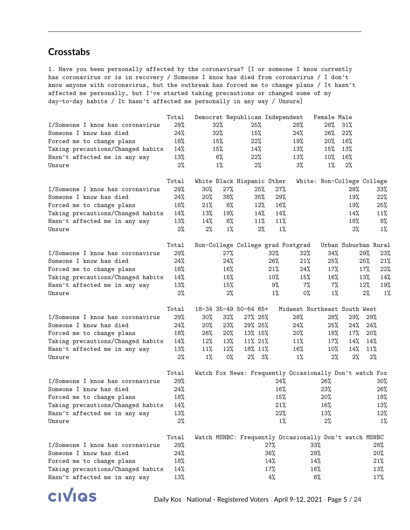### **Crosstabs**

1. Have you been personally affected by the coronavirus? [I or someone I know currently has coronavirus or is in recovery / Someone I know has died from coronavirus / I don't know anyone with coronavirus, but the outbreak has forced me to change plans / It hasn't affected me personally, but I've started taking precautions or changed some of my day-to-day habits / It hasn't affected me personally in any way / Unsure]

|                                         | Total        | Democrat Republican Independent |        |          |        |                                                         | Female Male |       |                            |
|-----------------------------------------|--------------|---------------------------------|--------|----------|--------|---------------------------------------------------------|-------------|-------|----------------------------|
| I/Someone I know has coronavirus        | 29%          | 32%                             |        | 25%      |        | 28%                                                     | 28%         | 31%   |                            |
| Someone I know has died                 | 24%          | 32%                             |        | 15%      |        | 24%                                                     | 26%         | 22%   |                            |
| Forced me to change plans               | 18%          | 15%                             |        | 22%      |        | 19%                                                     | 20%         | 16%   |                            |
| Taking precautions/Changed habits       | 14%          | 15%                             |        | 14%      |        | 13%                                                     | 15%         | 13%   |                            |
| Hasn't affected me in any way           | 13%          | 6%                              |        | 22%      |        | 13%                                                     | 10%         | 16%   |                            |
| Unsure                                  | $2\%$        | $1\%$                           |        | 2%       |        | 3%                                                      | $1\%$       | $2\%$ |                            |
|                                         | Total        | White Black Hispanic Other      |        |          |        |                                                         |             |       | White: Non-College College |
| I/Someone I know has coronavirus        | $29\%$       | $30\%$                          | 27%    | 25%      | 27%    |                                                         |             | 28%   | 33%                        |
| Someone I know has died                 | 24%          | 20%                             | 38%    | 35%      | 29%    |                                                         |             | 19%   | 22%                        |
| Forced me to change plans               | 18%          | 21%                             | 8%     | 12%      | $16\%$ |                                                         |             | 19%   | 25%                        |
| Taking precautions/Changed habits       | 14%          | 13%                             | 19%    | 14%      | 14%    |                                                         |             | 14%   | 11%                        |
|                                         | 13%          | 14%                             | 8%     | 11%      | 11%    |                                                         |             | 18%   | 8%                         |
| Hasn't affected me in any way<br>Unsure | $2\%$        | $2\%$                           | $1\%$  | $2\%$    | $1\%$  |                                                         |             | 2%    | $1\%$                      |
|                                         |              |                                 |        |          |        |                                                         |             |       |                            |
|                                         | Total        |                                 |        |          |        | Non-College College grad Postgrad                       |             |       | Urban Suburban Rural       |
| I/Someone I know has coronavirus        | $29\%$       |                                 | 27%    |          | $32\%$ | $32\%$                                                  | 34%         |       | 29%<br>23%                 |
| Someone I know has died                 | 24%          |                                 | 24%    |          | 26%    | 21%                                                     | 25%         |       | 25%<br>21%                 |
| Forced me to change plans               | 18%          |                                 | 16%    |          | 21%    | 24%                                                     | 17%         |       | 17%<br>22%                 |
| Taking precautions/Changed habits       | 14%          |                                 | 15%    |          | 10%    | 15%                                                     | 16%         |       | 13%<br>14%                 |
| Hasn't affected me in any way           | 13%          |                                 | 15%    |          | 9%     | 7%                                                      | $7\%$       |       | 12%<br>19%                 |
| Unsure                                  | $2\%$        |                                 | 2%     |          | $1\%$  | 0%                                                      | $1\%$       |       | 2%<br>1%                   |
|                                         | Total        | 18-34 35-49 50-64 65+           |        |          |        | Midwest Northeast South West                            |             |       |                            |
| I/Someone I know has coronavirus        | $29\%$       | $30\%$                          | $32\%$ | 27% 25%  |        | 28%                                                     | 28%         | 29%   | 29%                        |
| Someone I know has died                 | 24%          | $20\%$                          | 23%    | 29% 25%  |        | 24%                                                     | 25%         | 24%   | 24%                        |
| Forced me to change plans               | 18%          | 26%                             | $20\%$ | 13% 15%  |        | 20%                                                     | 18%         | 17%   | 20%                        |
| Taking precautions/Changed habits       | 14%          | 12%                             | 13%    | 11% 21%  |        | 11%                                                     | 17%         | 14%   | 14%                        |
| Hasn't affected me in any way           | 13%          | 11%                             | 12%    | 18% 11%  |        | 16%                                                     | $10\%$      | 14%   | 11%                        |
| Unsure                                  | 2%           | $1\%$                           | 0%     | $2\%$ 3% |        | $1\%$                                                   | 2%          | 2%    | 2%                         |
|                                         | Total        |                                 |        |          |        | Watch Fox News: Frequently Occasionally Don't watch Fox |             |       |                            |
| I/Someone I know has coronavirus        | 29%          |                                 |        |          | 24%    |                                                         | 26%         |       | $30\%$                     |
| Someone I know has died                 | 24%          |                                 |        |          | 16%    |                                                         | 23%         |       | 26%                        |
| Forced me to change plans               | 18%          |                                 |        |          | 15%    |                                                         | 20%         |       | 18%                        |
| Taking precautions/Changed habits       | 14%          |                                 |        |          | 21%    |                                                         | $16\%$      |       | 13%                        |
|                                         |              |                                 |        |          | 22%    |                                                         | 13%         |       |                            |
| Hasn't affected me in any way<br>Unsure | 13%<br>$2\%$ |                                 |        |          | 1%     |                                                         | $2\%$       |       | 12%<br>$1\%$               |
|                                         |              |                                 |        |          |        |                                                         |             |       |                            |
|                                         | Total        |                                 |        |          |        | Watch MSNBC: Frequently Occasionally Don't watch MSNBC  |             |       |                            |
| I/Someone I know has coronavirus        | $29\%$       |                                 |        |          | 27%    | $33\%$                                                  |             |       | 28%                        |
| Someone I know has died                 | 24%          |                                 |        |          | 36%    | 29%                                                     |             |       | 20%                        |
| Forced me to change plans               | 18%          |                                 |        |          | 14%    | 14%                                                     |             |       | $21\%$                     |
| Taking precautions/Changed habits       | 14%          |                                 |        |          | 17%    | 16%                                                     |             |       | 13%                        |
| Hasn't affected me in any way           | 13%          |                                 |        |          | 4%     |                                                         | 6%          |       | 17%                        |

**CIVIQS**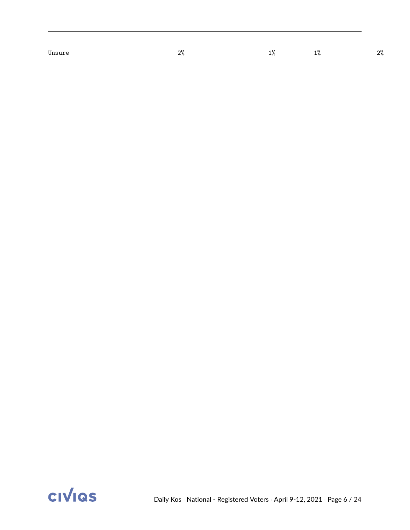Unsure  $2\%$   $2\%$   $1\%$   $1\%$   $1\%$   $2\%$ 

**CIVIQS**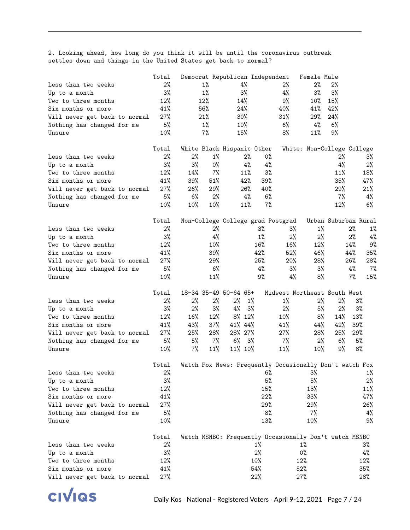2. Looking ahead, how long do you think it will be until the coronavirus outbreak settles down and things in the United States get back to normal?

|                               | Total |       |       | Democrat Republican Independent   |       |       |        | Female Male                                             |                      |       |       |
|-------------------------------|-------|-------|-------|-----------------------------------|-------|-------|--------|---------------------------------------------------------|----------------------|-------|-------|
| Less than two weeks           | 2%    |       | $1\%$ | 4%                                |       |       | $2\%$  | 2%                                                      | $2\%$                |       |       |
| Up to a month                 | 3%    |       | $1\%$ | $3\%$                             |       |       | $4\%$  | $3\%$                                                   | 3%                   |       |       |
| Two to three months           | 12%   |       | 12%   | 14%                               |       |       | 9%     | 10%                                                     | 15%                  |       |       |
| Six months or more            | 41%   |       | 56%   | 24%                               |       |       | 40%    | 41%                                                     | 42%                  |       |       |
| Will never get back to normal | 27%   |       | 21%   | $30\%$                            |       |       | $31\%$ | 29%                                                     | 24%                  |       |       |
| Nothing has changed for me    | 5%    |       | $1\%$ | $10\%$                            |       |       | 6%     | 4%                                                      | $6\%$                |       |       |
| Unsure                        | 10%   |       | 7%    | 15%                               |       |       | 8%     | 11%                                                     | 9%                   |       |       |
|                               |       |       |       |                                   |       |       |        |                                                         |                      |       |       |
|                               | Total |       |       | White Black Hispanic Other        |       |       |        | White: Non-College College                              |                      |       |       |
| Less than two weeks           | 2%    | $2\%$ | $1\%$ |                                   | $2\%$ | 0%    |        |                                                         | 2%                   |       | $3\%$ |
| Up to a month                 | 3%    | $3\%$ | 0%    |                                   | 4%    | 4%    |        |                                                         | 4%                   |       | 2%    |
| Two to three months           | 12%   | 14%   | 7%    |                                   | 11%   | 3%    |        |                                                         | 11%                  |       | 18%   |
| Six months or more            | 41%   | 39%   | 51%   |                                   | 42%   | 39%   |        |                                                         | 35%                  |       | 47%   |
| Will never get back to normal | 27%   | 26%   | 29%   |                                   | 26%   | 40%   |        |                                                         | 29%                  |       | 21%   |
| Nothing has changed for me    | 5%    | 6%    | $2\%$ |                                   | $4\%$ | 6%    |        |                                                         | 7%                   |       | 4%    |
| Unsure                        | 10%   | 10%   | 10%   |                                   | 11%   | 7%    |        |                                                         | 12%                  |       | $6\%$ |
|                               |       |       |       |                                   |       |       |        |                                                         |                      |       |       |
|                               | Total |       |       | Non-College College grad Postgrad |       |       |        |                                                         | Urban Suburban Rural |       |       |
| Less than two weeks           | $2\%$ |       | 2%    |                                   |       | 3%    | $3\%$  | $1\%$                                                   |                      | 2%    | 1%    |
| Up to a month                 | 3%    |       | 4%    |                                   |       | $1\%$ | 2%     | $2\%$                                                   |                      | 2%    | 4%    |
| Two to three months           | 12%   |       | 10%   |                                   |       | 16%   | 16%    | 12%                                                     |                      | 14%   | 9%    |
| Six months or more            | 41%   |       | 39%   |                                   |       | 42%   | 52%    | 46%                                                     |                      | 44%   | 35%   |
| Will never get back to normal | 27%   |       | 29%   |                                   |       | 25%   | 20%    | 28%                                                     |                      | 26%   | 28%   |
| Nothing has changed for me    | 5%    |       | 6%    |                                   |       | 4%    | 3%     | $3\%$                                                   |                      | 4%    | $7\%$ |
| Unsure                        | 10%   |       | 11%   |                                   |       | 9%    | 4%     | 8%                                                      |                      | $7\%$ | 15%   |
|                               | Total |       |       | 18-34 35-49 50-64 65+             |       |       |        | Midwest Northeast South West                            |                      |       |       |
|                               | $2\%$ | 2%    | $2\%$ | $2\%$                             | $1\%$ |       | $1\%$  | 2%                                                      | $2\%$                |       | $3\%$ |
| Less than two weeks           | 3%    | 2%    | 3%    | $4\%$                             | 3%    |       | $2\%$  | 5%                                                      | 2%                   |       | $3\%$ |
| Up to a month                 |       |       |       |                                   |       |       |        |                                                         |                      |       |       |
| Two to three months           | 12%   | 16%   | 12%   | $8\%$ 12%                         |       |       | 10%    | 8%                                                      | 14%                  | 13%   |       |
| Six months or more            | 41%   | 43%   | 37%   | 41% 44%                           |       |       | 41%    | 44%                                                     | 42%                  | 39%   |       |
| Will never get back to normal | 27%   | 25%   | 28%   | 28% 27%                           |       |       | 27%    | 28%                                                     | 25%                  | 29%   |       |
| Nothing has changed for me    | 5%    | 5%    | $7\%$ | $6\%$ 3%                          |       |       | 7%     | 2%                                                      | $6\%$                |       | 5%    |
| Unsure                        | 10%   | 7%    | 11%   | 11% 10%                           |       |       | 11%    | 10%                                                     | 9%                   |       | 8%    |
|                               | Total |       |       |                                   |       |       |        | Watch Fox News: Frequently Occasionally Don't watch Fox |                      |       |       |
| Less than two weeks           | $2\%$ |       |       |                                   |       |       | $6\%$  | 3%                                                      |                      |       | $1\%$ |
| Up to a month                 | 3%    |       |       |                                   |       | 5%    |        | 5%                                                      |                      |       | $2\%$ |
| Two to three months           | 12%   |       |       |                                   |       | 15%   |        | 13%                                                     |                      |       | 11%   |
| Six months or more            | 41%   |       |       |                                   |       | 22%   |        | $33\%$                                                  |                      |       | 47%   |
| Will never get back to normal | 27%   |       |       |                                   |       | 29%   |        | 29%                                                     |                      |       | 26%   |
| Nothing has changed for me    | 5%    |       |       |                                   |       | 8%    |        | $7\%$                                                   |                      |       | 4%    |
| Unsure                        | 10%   |       |       |                                   |       | 13%   |        | 10%                                                     |                      |       | 9%    |
|                               |       |       |       |                                   |       |       |        |                                                         |                      |       |       |
|                               | Total |       |       |                                   |       |       |        | Watch MSNBC: Frequently Occasionally Don't watch MSNBC  |                      |       |       |
| Less than two weeks           | 2%    |       |       |                                   |       | $1\%$ |        | $1\%$                                                   |                      |       | $3\%$ |
| Up to a month                 | 3%    |       |       |                                   |       | 2%    |        | 0%                                                      |                      |       | 4%    |
| Two to three months           | 12%   |       |       |                                   |       | 10%   |        | 12%                                                     |                      |       | 12%   |
| Six months or more            | 41%   |       |       |                                   |       | 54%   |        | 52%                                                     |                      |       | 35%   |
| Will never get back to normal | 27%   |       |       |                                   |       | 22%   |        | $27\%$                                                  |                      |       | 28%   |

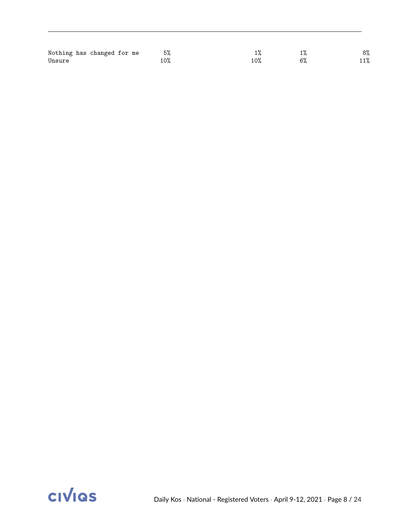| Nothing has changed for me | 5%   |     | 8%  |
|----------------------------|------|-----|-----|
| Unsure                     | 0% ـ | 10% | 11% |

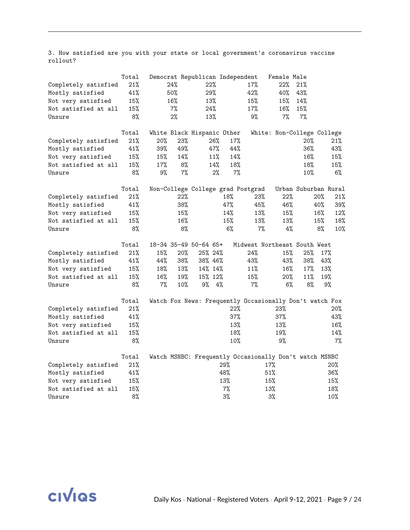3. How satisfied are you with your state or local government's coronavirus vaccine rollout?

|                      | Total |       |       | Democrat Republican Independent |     |                                                         | Female Male                |     |                      |
|----------------------|-------|-------|-------|---------------------------------|-----|---------------------------------------------------------|----------------------------|-----|----------------------|
| Completely satisfied | 21%   |       | 24%   | 22%                             |     | 17%                                                     | 22%                        | 21% |                      |
| Mostly satisfied     | 41%   |       | 50%   | 29%                             |     | 42%                                                     | 40%                        | 43% |                      |
| Not very satisfied   | 15%   |       | 16%   | 13%                             |     | 15%                                                     | 15%                        | 14% |                      |
| Not satisfied at all | 15%   |       | $7\%$ | 24%                             |     | 17%                                                     | 16%                        | 15% |                      |
| Unsure               | 8%    |       | 2%    | 13%                             |     | 9%                                                      | 7%                         | 7%  |                      |
|                      | Total |       |       | White Black Hispanic Other      |     |                                                         | White: Non-College College |     |                      |
| Completely satisfied | 21%   | 20%   | 23%   |                                 | 26% | 17%                                                     |                            | 20% | 21%                  |
| Mostly satisfied     | 41%   | 39%   | 49%   | 47%                             |     | 44%                                                     |                            | 36% | 43%                  |
| Not very satisfied   | 15%   | 15%   | 14%   | 11%                             |     | 14%                                                     |                            | 16% | 15%                  |
| Not satisfied at all | 15%   | 17%   | 8%    |                                 | 14% | 18%                                                     |                            | 18% | 15%                  |
| Unsure               | 8%    | 9%    | 7%    |                                 | 2%  | 7%                                                      |                            | 10% | 6%                   |
|                      | Total |       |       |                                 |     | Non-College College grad Postgrad                       |                            |     | Urban Suburban Rural |
| Completely satisfied | 21%   |       | 22%   |                                 | 18% | 23%                                                     | 22%                        |     | 20%<br>21%           |
| Mostly satisfied     | 41%   |       | 38%   |                                 | 47% | 45%                                                     | 46%                        |     | 40%<br>39%           |
| Not very satisfied   | 15%   |       | 15%   |                                 | 14% | 13%                                                     | 15%                        |     | 16%<br>12%           |
| Not satisfied at all | 15%   |       | 16%   |                                 | 15% | 13%                                                     | 13%                        |     | 15%<br>18%           |
| Unsure               | 8%    |       | 8%    |                                 | 6%  | 7%                                                      | 4%                         |     | 8%<br>10%            |
|                      | Total |       |       | 18-34 35-49 50-64 65+           |     | Midwest Northeast South West                            |                            |     |                      |
| Completely satisfied | 21%   | 15%   | 20%   | 25% 24%                         |     | 24%                                                     | 15%                        | 25% | 17%                  |
| Mostly satisfied     | 41%   | 44%   | 38%   | 38% 46%                         |     | 43%                                                     | 43%                        | 38% | 43%                  |
| Not very satisfied   | 15%   | 18%   | 13%   | 14% 14%                         |     | 11%                                                     | $16\%$                     | 17% | 13%                  |
| Not satisfied at all | 15%   | 16%   | 19%   | 15% 12%                         |     | 15%                                                     | 20%                        | 11% | 19%                  |
| Unsure               | 8%    | $7\%$ | 10%   | 9%                              | 4%  | $7\%$                                                   | $6\%$                      | 8%  | 9%                   |
|                      | Total |       |       |                                 |     | Watch Fox News: Frequently Occasionally Don't watch Fox |                            |     |                      |
| Completely satisfied | 21%   |       |       |                                 |     | 22%                                                     | 23%                        |     | $20\%$               |
| Mostly satisfied     | 41%   |       |       |                                 |     | 37%                                                     | 37%                        |     | 43%                  |
| Not very satisfied   | 15%   |       |       |                                 |     | 13%                                                     | 13%                        |     | 16%                  |
| Not satisfied at all | 15%   |       |       |                                 |     | 18%                                                     | 19%                        |     | 14%                  |
| Unsure               | 8%    |       |       |                                 |     | 10%                                                     | 9%                         |     | $7\%$                |
|                      | Total |       |       |                                 |     | Watch MSNBC: Frequently Occasionally Don't watch MSNBC  |                            |     |                      |
| Completely satisfied | 21%   |       |       |                                 | 29% |                                                         | 17%                        |     | 20%                  |
| Mostly satisfied     | 41%   |       |       |                                 | 48% |                                                         | 51%                        |     | 36%                  |
| Not very satisfied   | 15%   |       |       |                                 | 13% |                                                         | 15%                        |     | 15%                  |
| Not satisfied at all | 15%   |       |       |                                 | 7%  |                                                         | 13%                        |     | 18%                  |
| Unsure               | 8%    |       |       |                                 | 3%  |                                                         | 3%                         |     | 10%                  |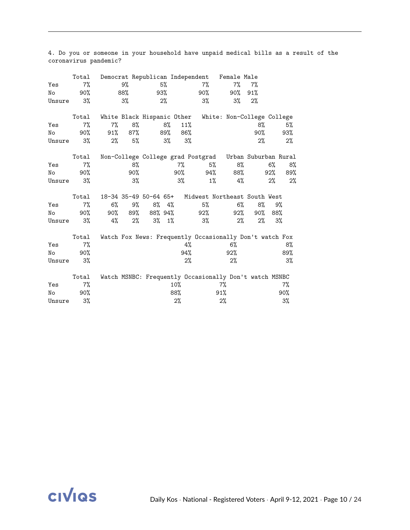|        | Total  |                            |         |    |          |        |       | Democrat Republican Independent Female Male             |       |       |       |
|--------|--------|----------------------------|---------|----|----------|--------|-------|---------------------------------------------------------|-------|-------|-------|
| Yes    | 7%     |                            | 9%      |    | 5%       |        | $7\%$ | 7%                                                      | 7%    |       |       |
| No     | $90\%$ |                            | 88%     |    | 93%      |        | 90%   | 90%                                                     | 91%   |       |       |
| Unsure | 3%     |                            | $3\%$   |    | $2\%$    |        | $3\%$ | 3%                                                      | 2%    |       |       |
|        | Total  | White Black Hispanic Other |         |    |          |        |       | White: Non-College College                              |       |       |       |
| Yes    | 7%     | 7%                         | 8%      |    | 8%       | 11%    |       |                                                         | 8%    |       | 5%    |
| No     | 90%    | $91\%$                     | 87%     |    | 89%      | 86%    |       |                                                         | 90%   |       | 93%   |
| Unsure | 3%     | $2\%$                      | 5%      |    | 3%       | 3%     |       |                                                         | 2%    |       | 2%    |
|        |        |                            |         |    |          |        |       |                                                         |       |       |       |
|        | Total  |                            |         |    |          |        |       | Non-College College grad Postgrad Urban Suburban Rural  |       |       |       |
| Yes    | 7%     |                            | 8%      |    |          | $7\%$  | 5%    | 8%                                                      |       | $6\%$ | 8%    |
| No     | 90%    |                            | 90%     |    |          | 90%    | 94%   | 88%                                                     |       | 92%   | 89%   |
| Unsure | $3\%$  |                            | 3%      |    |          | 3%     | $1\%$ | 4%                                                      |       | 2%    | 2%    |
|        | Total  |                            |         |    |          |        |       | 18-34 35-49 50-64 65+ Midwest Northeast South West      |       |       |       |
| Yes    | 7%     | $6\%$                      | 9%      | 8% | $4\%$    |        | 5%    | $6\%$                                                   | 8%    |       | 9%    |
| No     | 90%    |                            | 90% 89% |    | 88% 94%  |        |       | 92%                                                     | 90%   | 88%   |       |
|        |        |                            |         |    |          |        | 92%   |                                                         |       |       |       |
| Unsure | 3%     | 4%                         | 2%      |    | $3\%$ 1% |        | $3\%$ | $2\%$                                                   | $2\%$ |       | 3%    |
|        | Total  |                            |         |    |          |        |       | Watch Fox News: Frequently Occasionally Don't watch Fox |       |       |       |
| Yes    | $7\%$  |                            |         |    |          | 4%     |       | 6%                                                      |       |       | 8%    |
| No     | 90%    |                            |         |    |          | 94%    |       | 92%                                                     |       |       | 89%   |
| Unsure | 3%     |                            |         |    |          | 2%     |       | 2%                                                      |       |       | 3%    |
|        | Total  |                            |         |    |          |        |       | Watch MSNBC: Frequently Occasionally Don't watch MSNBC  |       |       |       |
| Yes    | 7%     |                            |         |    |          | $10\%$ |       | 7%                                                      |       |       | $7\%$ |
| No     | 90%    |                            |         |    |          | 88%    |       | 91%                                                     |       |       | 90%   |
| Unsure | 3%     |                            |         |    |          | $2\%$  |       | 2%                                                      |       |       | 3%    |
|        |        |                            |         |    |          |        |       |                                                         |       |       |       |

4. Do you or someone in your household have unpaid medical bills as a result of the coronavirus pandemic?

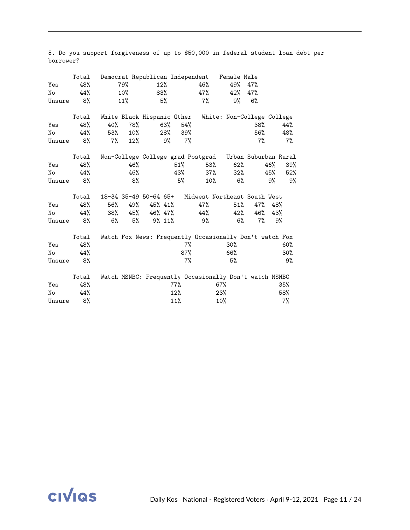| Yes<br>No<br>Unsure | Total<br>48%<br>44%<br>8% |     | 79%<br>$10\%$<br>11% | 12%             | 83%<br>5% |       | 46%<br>47%<br>$7\%$ | Democrat Republican Independent Female Male<br>49%<br>42%<br>9% | 47%<br>47%<br>$6\%$ |     |       |
|---------------------|---------------------------|-----|----------------------|-----------------|-----------|-------|---------------------|-----------------------------------------------------------------|---------------------|-----|-------|
|                     | Total                     |     |                      |                 |           |       |                     | White Black Hispanic Other White: Non-College College           |                     |     |       |
| Yes                 | 48%                       | 40% | 78%                  |                 | 63%       | 54%   |                     |                                                                 | 38%                 |     | 44%   |
| No                  | 44%                       | 53% | $10\%$               |                 | 28%       | 39%   |                     |                                                                 | 56%                 |     | 48%   |
| Unsure              | 8%                        | 7%  | 12%                  |                 | 9%        | 7%    |                     |                                                                 | $7\%$               |     | 7%    |
|                     | Total                     |     |                      |                 |           |       |                     | Non-College College grad Postgrad Urban Suburban Rural          |                     |     |       |
| Yes                 | 48%                       |     | 46%                  |                 | $51\%$    |       | 53%                 | 62%                                                             |                     | 46% | 39%   |
| No                  | 44%                       |     | 46%                  |                 |           | 43%   | 37%                 | 32%                                                             |                     | 45% | 52%   |
| Unsure              | 8%                        |     | 8%                   |                 |           | 5%    | $10\%$              | $6\%$                                                           |                     | 9%  | 9%    |
|                     | Total                     |     |                      |                 |           |       |                     | 18-34 35-49 50-64 65+ Midwest Northeast South West              |                     |     |       |
| Yes                 | 48%                       | 56% |                      | 49% 45% 41%     |           |       | 47%                 | $51\%$                                                          | 47%                 | 48% |       |
| No                  | 44%                       |     |                      | 38% 45% 46% 47% |           |       | 44%                 | 42%                                                             | 46%                 | 43% |       |
| Unsure              | 8%                        | 6%  | 5%                   | $9\%$ 11\%      |           |       | 9%                  | $6\%$                                                           | $7\%$               |     | 9%    |
|                     | Total                     |     |                      |                 |           |       |                     | Watch Fox News: Frequently Occasionally Don't watch Fox         |                     |     |       |
| Yes                 | 48%                       |     |                      |                 |           | $7\%$ |                     | $30\%$                                                          |                     |     | 60%   |
| No                  | 44%                       |     |                      |                 |           | 87%   |                     | 66%                                                             |                     |     | 30%   |
| Unsure              | 8%                        |     |                      |                 |           | 7%    |                     | 5%                                                              |                     |     | 9%    |
|                     | Total                     |     |                      |                 |           |       |                     | Watch MSNBC: Frequently Occasionally Don't watch MSNBC          |                     |     |       |
| Yes                 | 48%                       |     |                      |                 | 77%       |       |                     | 67%                                                             |                     |     | 35%   |
| No                  | 44%                       |     |                      |                 | 12%       |       |                     | 23%                                                             |                     |     | 58%   |
| Unsure              | 8%                        |     |                      |                 | 11%       |       |                     | 10%                                                             |                     |     | $7\%$ |

5. Do you support forgiveness of up to \$50,000 in federal student loan debt per borrower?

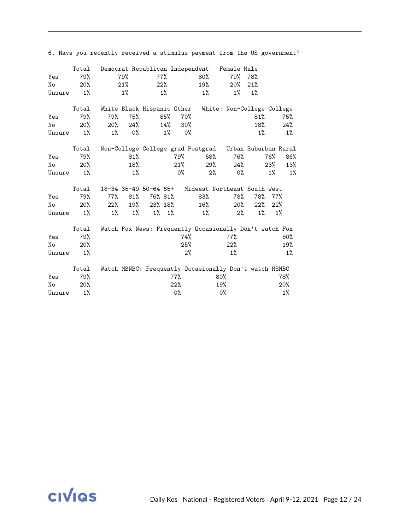|        | Total  |       |        |                            |             |        | Democrat Republican Independent | Female Male                                             |         |       |       |
|--------|--------|-------|--------|----------------------------|-------------|--------|---------------------------------|---------------------------------------------------------|---------|-------|-------|
| Yes    | 79%    |       | 79%    |                            | 77%         |        | 80%                             |                                                         | 79% 78% |       |       |
| No     | $20\%$ |       | 21%    |                            | $22\%$      |        | 19%                             | $20\%$                                                  | 21%     |       |       |
| Unsure | $1\%$  |       | 1%     |                            | $1\%$       |        | 1%                              | $1\%$                                                   | $1\%$   |       |       |
|        | Total  |       |        | White Black Hispanic Other |             |        |                                 | White: Non-College College                              |         |       |       |
| Yes    | 79%    | 79%   | 75%    |                            | 85%         | 70%    |                                 |                                                         | 81%     |       | 75%   |
| No     | 20%    | 20%   | 24%    |                            | 14%         | $30\%$ |                                 |                                                         | 18%     |       | 24%   |
| Unsure | $1\%$  | $1\%$ | 0%     |                            | $1\%$       | 0%     |                                 |                                                         | 1%      |       | 1%    |
|        | Total  |       |        |                            |             |        |                                 | Non-College College grad Postgrad Urban Suburban Rural  |         |       |       |
| Yes    | 79%    |       | $81\%$ |                            |             | 79%    | 68%                             | 76%                                                     |         | 76%   | 86%   |
| No     | 20%    |       | 18%    |                            |             | 21%    | 29%                             | 24%                                                     |         | 23%   | 13%   |
| Unsure | $1\%$  |       | $1\%$  |                            |             | 0%     | 2%                              | 0%                                                      |         | $1\%$ | 1%    |
|        | Total  |       |        | 18-34 35-49 50-64 65+      |             |        |                                 | Midwest Northeast South West                            |         |       |       |
| Yes    | 79%    | 77%   | 81%    | 76% 81%                    |             |        | 83%                             | 78%                                                     | 78%     | 77%   |       |
| No     | 20%    | 22%   | 19%    | 23% 18%                    |             |        | $16\%$                          | $20\%$                                                  | $22\%$  | 22%   |       |
| Unsure | 1%     | $1\%$ | $1\%$  |                            | $1\%$ $1\%$ |        | $1\%$                           | 2%                                                      | $1\%$   |       | 1%    |
|        | Total  |       |        |                            |             |        |                                 | Watch Fox News: Frequently Occasionally Don't watch Fox |         |       |       |
| Yes    | 79%    |       |        |                            |             | 74%    |                                 | $77\%$                                                  |         |       | 80%   |
| No     | 20%    |       |        |                            |             | $25\%$ |                                 | 22%                                                     |         |       | 19%   |
| Unsure | 1%     |       |        |                            |             | $2\%$  |                                 | $1\%$                                                   |         |       | 1%    |
|        | Total  |       |        |                            |             |        |                                 | Watch MSNBC: Frequently Occasionally Don't watch MSNBC  |         |       |       |
| Yes    | 79%    |       |        |                            |             | 77%    |                                 | $80\%$                                                  |         |       | 78%   |
| No     | 20%    |       |        |                            |             | 22%    |                                 | 19%                                                     |         |       | 20%   |
| Unsure | 1%     |       |        |                            |             | 0%     |                                 | 0%                                                      |         |       | $1\%$ |

6. Have you recently received a stimulus payment from the US government?

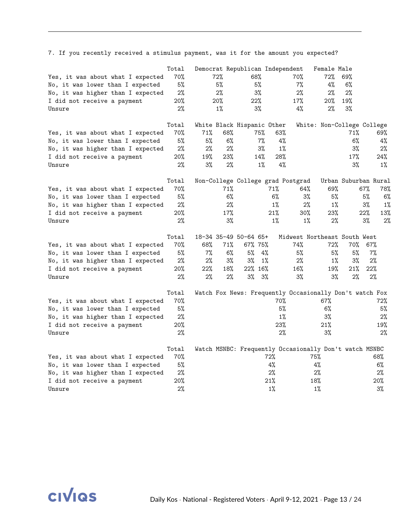|                                   | Total |       |       | Democrat Republican Independent   |       |       |                                                         | Female Male                |                      |     |       |
|-----------------------------------|-------|-------|-------|-----------------------------------|-------|-------|---------------------------------------------------------|----------------------------|----------------------|-----|-------|
| Yes, it was about what I expected | 70%   |       | 72%   | 68%                               |       |       | 70%                                                     | 72%                        | 69%                  |     |       |
| No, it was lower than I expected  | 5%    |       | 5%    | 5%                                |       |       | 7%                                                      | 4%                         | 6%                   |     |       |
| No, it was higher than I expected | 2%    |       | 2%    | 3%                                |       |       | 2%                                                      | 2%                         | 2%                   |     |       |
| I did not receive a payment       | 20%   |       | 20%   | 22%                               |       |       | 17%                                                     | 20%                        | 19%                  |     |       |
| Unsure                            | $2\%$ |       | $1\%$ | $3\%$                             |       |       | 4%                                                      | 2%                         | 3%                   |     |       |
|                                   | Total |       |       | White Black Hispanic Other        |       |       |                                                         | White: Non-College College |                      |     |       |
| Yes, it was about what I expected | 70%   | 71%   | 68%   |                                   | 75%   | 63%   |                                                         |                            | 71%                  |     | 69%   |
| No, it was lower than I expected  | 5%    | 5%    | 6%    |                                   | $7\%$ | 4%    |                                                         |                            | 6%                   |     | 4%    |
| No, it was higher than I expected | 2%    | 2%    | 2%    |                                   | $3\%$ | $1\%$ |                                                         |                            | 3%                   |     | 2%    |
| I did not receive a payment       | 20%   | 19%   | 23%   |                                   | 14%   | 28%   |                                                         |                            | 17%                  |     | 24%   |
| Unsure                            | $2\%$ | $3\%$ | $2\%$ |                                   | $1\%$ | $4\%$ |                                                         |                            | 3%                   |     | $1\%$ |
|                                   | Total |       |       | Non-College College grad Postgrad |       |       |                                                         |                            | Urban Suburban Rural |     |       |
| Yes, it was about what I expected | 70%   |       | 71%   |                                   |       | 71%   | 64%                                                     | 69%                        |                      | 67% | 78%   |
| No, it was lower than I expected  | 5%    |       | 6%    |                                   |       | 6%    | $3\%$                                                   | 5%                         |                      | 5%  | 6%    |
| No, it was higher than I expected | 2%    |       | 2%    |                                   |       | $1\%$ | 2%                                                      | $1\%$                      |                      | 3%  | $1\%$ |
| I did not receive a payment       | 20%   |       | 17%   |                                   |       | 21%   | 30%                                                     | 23%                        |                      | 22% | 13%   |
| Unsure                            | 2%    |       | 3%    |                                   |       | 1%    | 1%                                                      | 2%                         |                      | 3%  | 2%    |
|                                   | Total |       |       | 18-34 35-49 50-64 65+             |       |       | Midwest Northeast South West                            |                            |                      |     |       |
| Yes, it was about what I expected | 70%   | 68%   | 71%   | 67% 75%                           |       |       | 74%                                                     | 72%                        | 70%                  | 67% |       |
| No, it was lower than I expected  | 5%    | $7\%$ | 6%    | 5%                                | 4%    |       | 5%                                                      | 5%                         | 5%                   | 7%  |       |
| No, it was higher than I expected | $2\%$ | 2%    | 3%    | 3%                                | $1\%$ |       | 2%                                                      | $1\%$                      | 3%                   | 2%  |       |
| I did not receive a payment       | 20%   | 22%   | 18%   | 22% 16%                           |       |       | 16%                                                     | 19%                        | 21%                  | 22% |       |
| Unsure                            | 2%    | 2%    | 2%    | 3%                                | 3%    |       | 3%                                                      | 3%                         | 2%                   | 2%  |       |
|                                   | Total |       |       |                                   |       |       | Watch Fox News: Frequently Occasionally Don't watch Fox |                            |                      |     |       |
| Yes, it was about what I expected | 70%   |       |       |                                   |       | 70%   |                                                         | 67%                        |                      |     | 72%   |
| No, it was lower than I expected  | 5%    |       |       |                                   |       | 5%    |                                                         | 6%                         |                      |     | 5%    |
| No, it was higher than I expected | 2%    |       |       |                                   |       | $1\%$ |                                                         | 3%                         |                      |     | 2%    |
| I did not receive a payment       | 20%   |       |       |                                   |       | 23%   |                                                         | 21%                        |                      |     | 19%   |
| Unsure                            | 2%    |       |       |                                   |       | 2%    |                                                         | 3%                         |                      |     | 2%    |
|                                   | Total |       |       |                                   |       |       | Watch MSNBC: Frequently Occasionally Don't watch MSNBC  |                            |                      |     |       |
| Yes, it was about what I expected | 70%   |       |       |                                   | 72%   |       |                                                         | 75%                        |                      |     | 68%   |
| No, it was lower than I expected  | 5%    |       |       |                                   | 4%    |       |                                                         | 4%                         |                      |     | $6\%$ |
| No, it was higher than I expected | 2%    |       |       |                                   | 2%    |       |                                                         | 2%                         |                      |     | 2%    |
| I did not receive a payment       | 20%   |       |       |                                   | 21%   |       |                                                         | 18%                        |                      |     | 20%   |
| Unsure                            | 2%    |       |       |                                   | $1\%$ |       |                                                         | $1\%$                      |                      |     | 3%    |

7. If you recently received a stimulus payment, was it for the amount you expected?

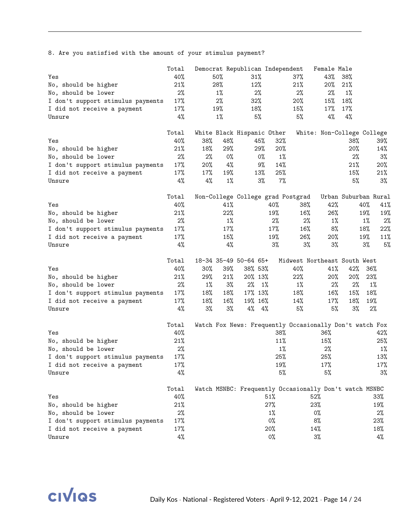8. Are you satisfied with the amount of your stimulus payment?

|                                   | Total |        |       | Democrat Republican Independent                         |       |                              | Female Male                |                      |       |       |
|-----------------------------------|-------|--------|-------|---------------------------------------------------------|-------|------------------------------|----------------------------|----------------------|-------|-------|
| Yes                               | 40%   | 50%    |       | $31\%$                                                  |       | $37\%$                       | 43%                        | 38%                  |       |       |
| No, should be higher              | 21%   | 28%    |       | 12%                                                     |       | 21%                          | 20%                        | 21%                  |       |       |
| No, should be lower               | $2\%$ |        | $1\%$ | 2%                                                      |       | 2%                           | 2%                         | $1\%$                |       |       |
| I don't support stimulus payments | 17%   |        | 2%    | 32%                                                     |       | 20%                          | 15%                        | 18%                  |       |       |
| I did not receive a payment       | 17%   | 19%    |       | 18%                                                     |       | 15%                          | 17%                        | 17%                  |       |       |
| Unsure                            | 4%    |        | $1\%$ | 5%                                                      |       | 5%                           | 4%                         | 4%                   |       |       |
|                                   | Total |        |       | White Black Hispanic Other                              |       |                              | White: Non-College College |                      |       |       |
| Yes                               | 40%   | 38%    | 48%   | 45%                                                     | 32%   |                              |                            | 38%                  |       | 39%   |
| No, should be higher              | 21%   | 18%    | 29%   | 29%                                                     | 20%   |                              |                            | 20%                  |       | 14%   |
| No, should be lower               | 2%    | 2%     | 0%    | 0%                                                      | $1\%$ |                              |                            | 2%                   |       | 3%    |
| I don't support stimulus payments | 17%   | 20%    | 4%    | 9%                                                      | 14%   |                              |                            | 21%                  |       | 20%   |
| I did not receive a payment       | 17%   | 17%    | 19%   | 13%                                                     | 25%   |                              |                            | 15%                  |       | 21%   |
| Unsure                            | $4\%$ | 4%     | $1\%$ | 3%                                                      | 7%    |                              |                            | 5%                   |       | 3%    |
|                                   | Total |        |       | Non-College College grad Postgrad                       |       |                              |                            | Urban Suburban Rural |       |       |
| Yes                               | 40%   |        | 41%   |                                                         | 40%   | 38%                          | 42%                        |                      | 40%   | 41%   |
| No, should be higher              | 21%   |        | 22%   |                                                         | 19%   | 16%                          | 26%                        |                      | 19%   | 19%   |
| No, should be lower               | 2%    |        | $1\%$ |                                                         | 2%    | 2%                           | $1\%$                      |                      | $1\%$ | 2%    |
| I don't support stimulus payments | 17%   |        | 17%   |                                                         | 17%   | 16%                          | 8%                         |                      | 18%   | 22%   |
| I did not receive a payment       | 17%   |        | 15%   |                                                         | 19%   | 26%                          | 20%                        |                      | 19%   | 11%   |
| Unsure                            | 4%    |        | 4%    |                                                         | $3\%$ | 3%                           | 3%                         |                      | $3\%$ | 5%    |
|                                   | Total |        |       | 18-34 35-49 50-64 65+                                   |       | Midwest Northeast South West |                            |                      |       |       |
| Yes                               | 40%   | $30\%$ | 39%   | 38% 53%                                                 |       | 40%                          | 41%                        | 42%                  | 36%   |       |
| No, should be higher              | 21%   | 29%    | 21%   | 20% 13%                                                 |       | 22%                          | $20\%$                     | 20%                  | 23%   |       |
| No, should be lower               | 2%    | $1\%$  | 3%    | 2%<br>$1\%$                                             |       | $1\%$                        | 2%                         | $2\%$                | $1\%$ |       |
| I don't support stimulus payments | 17%   | 18%    | 18%   | 17% 13%                                                 |       | 18%                          | 16%                        | 15%                  | 18%   |       |
| I did not receive a payment       | 17%   | 18%    | 16%   | 19% 16%                                                 |       | 14%                          | 17%                        | 18%                  | 19%   |       |
| Unsure                            | 4%    | 3%     | 3%    | 4%<br>4%                                                |       | 5%                           | 5%                         | $3\%$                | 2%    |       |
|                                   | Total |        |       | Watch Fox News: Frequently Occasionally Don't watch Fox |       |                              |                            |                      |       |       |
| Yes                               | 40%   |        |       |                                                         | 38%   |                              | 36%                        |                      |       | 42%   |
| No, should be higher              | 21%   |        |       |                                                         | 11%   |                              | 15%                        |                      |       | 25%   |
| No, should be lower               | 2%    |        |       |                                                         | $1\%$ |                              | 2%                         |                      |       | $1\%$ |
| I don't support stimulus payments | 17%   |        |       |                                                         | 25%   |                              | 25%                        |                      |       | 13%   |
| I did not receive a payment       | 17%   |        |       |                                                         | 19%   |                              | 17%                        |                      |       | 17%   |
| Unsure                            | $4\%$ |        |       |                                                         | 5%    |                              | 5%                         |                      |       | 3%    |
|                                   | Total |        |       | Watch MSNBC: Frequently Occasionally Don't watch MSNBC  |       |                              |                            |                      |       |       |
| Yes                               | 40%   |        |       |                                                         | 51%   |                              | 52%                        |                      |       | 33%   |
| No, should be higher              | 21%   |        |       |                                                         | 27%   |                              | 23%                        |                      |       | 19%   |
| No, should be lower               | 2%    |        |       |                                                         | 1%    |                              | 0%                         |                      |       | 2%    |
| I don't support stimulus payments | 17%   |        |       |                                                         | 0%    |                              | 8%                         |                      |       | 23%   |
| I did not receive a payment       | 17%   |        |       |                                                         | 20%   |                              | 14%                        |                      |       | 18%   |
| Unsure                            | $4\%$ |        |       |                                                         |       |                              |                            |                      |       |       |

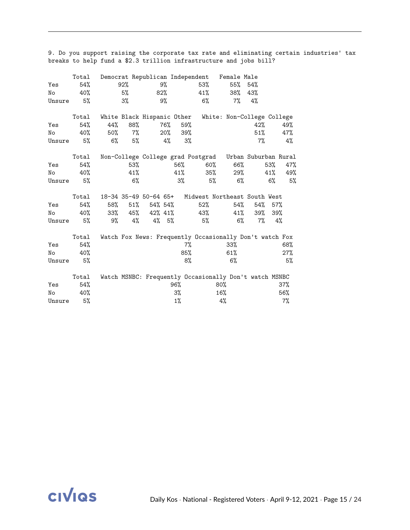|        | Total | Democrat Republican Independent |       |                             |          |       |     | Female Male                                             |          |     |       |
|--------|-------|---------------------------------|-------|-----------------------------|----------|-------|-----|---------------------------------------------------------|----------|-----|-------|
| Yes    | 54%   | 92%                             |       |                             | 9%       |       | 53% | $55\%$ 54%                                              |          |     |       |
| No     | 40%   | 5%                              |       | 82%                         |          |       | 41% | 38%                                                     | 43%      |     |       |
| Unsure | 5%    | 3%                              |       |                             | 9%       |       | 6%  | 7%                                                      | 4%       |     |       |
|        | Total | White Black Hispanic Other      |       |                             |          |       |     | White: Non-College College                              |          |     |       |
| Yes    | 54%   | 44%                             | 88%   |                             | 76%      | 59%   |     |                                                         | 42%      |     | 49%   |
| No     | 40%   | 50%                             | 7%    |                             | $20\%$   | 39%   |     |                                                         | $51\%$   |     | 47%   |
| Unsure | 5%    | 6%                              | 5%    |                             | 4%       | 3%    |     |                                                         | $7\%$    |     | 4%    |
|        | Total |                                 |       |                             |          |       |     | Non-College College grad Postgrad Urban Suburban Rural  |          |     |       |
| Yes    | 54%   |                                 | 53%   |                             |          | 56%   | 60% | 66%                                                     |          | 53% | 47%   |
| No     | 40%   |                                 | 41%   |                             |          | 41%   | 35% | 29%                                                     |          | 41% | 49%   |
| Unsure | 5%    |                                 | $6\%$ |                             |          | $3\%$ | 5%  | 6%                                                      |          | 6%  | 5%    |
|        | Total |                                 |       |                             |          |       |     | 18-34 35-49 50-64 65+ Midwest Northeast South West      |          |     |       |
| Yes    | 54%   | 58%                             |       | $51\%$ $54\%$ $54\%$        |          |       | 52% | 54%                                                     | 54%      | 57% |       |
| No     | 40%   |                                 |       | $33\%$ $45\%$ $42\%$ $41\%$ |          |       | 43% | 41%                                                     | 39%      | 39% |       |
| Unsure | 5%    | 9%                              | 4%    |                             | $4\%$ 5% |       | 5%  |                                                         | 6%<br>7% | 4%  |       |
|        | Total |                                 |       |                             |          |       |     | Watch Fox News: Frequently Occasionally Don't watch Fox |          |     |       |
| Yes    | 54%   |                                 |       |                             |          | 7%    |     | 33%                                                     |          |     | 68%   |
| No     | 40%   |                                 |       |                             |          | 85%   |     | 61%                                                     |          |     | 27%   |
| Unsure | 5%    |                                 |       |                             |          | 8%    |     | 6%                                                      |          |     | 5%    |
|        | Total |                                 |       |                             |          |       |     | Watch MSNBC: Frequently Occasionally Don't watch MSNBC  |          |     |       |
| Yes    | 54%   |                                 |       |                             |          | 96%   |     | $80\%$                                                  |          |     | 37%   |
| No     | 40%   |                                 |       |                             |          | 3%    |     | 16%                                                     |          |     | 56%   |
| Unsure | 5%    |                                 |       |                             |          | $1\%$ |     | 4%                                                      |          |     | $7\%$ |

9. Do you support raising the corporate tax rate and eliminating certain industries' tax breaks to help fund a \$2.3 trillion infrastructure and jobs bill?

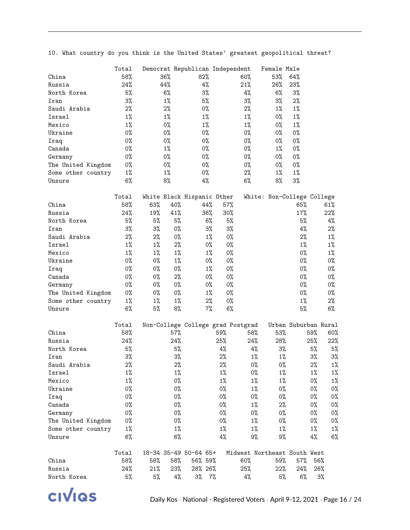10. What country do you think is the United States' greatest geopolitical threat?

|                    | Total |       |        | Democrat Republican Independent   |       |                              |       | Female Male |                            |       |       |
|--------------------|-------|-------|--------|-----------------------------------|-------|------------------------------|-------|-------------|----------------------------|-------|-------|
| China              | 58%   |       | 36%    | 82%                               |       | 60%                          |       | 53%         | 64%                        |       |       |
| Russia             | 24%   |       | 44%    | 4%                                |       | 21%                          |       | 26%         | 23%                        |       |       |
| North Korea        | 5%    |       | 6%     | 3%                                |       | $4\%$                        |       | 6%          | 3%                         |       |       |
| Iran               | 3%    |       | $1\%$  | 5%                                |       | 3%                           |       | 3%          | 2%                         |       |       |
| Saudi Arabia       | 2%    |       | $2\%$  | 0%                                |       | 2%                           |       | $1\%$       | 1%                         |       |       |
| Israel             | $1\%$ |       | 1%     | $1\%$                             |       | $1\%$                        |       | 0%          | $1\%$                      |       |       |
| Mexico             | $1\%$ |       | 0%     | $1\%$                             |       | $1\%$                        |       | 0%          | $1\%$                      |       |       |
| Ukraine            | 0%    |       | 0%     | $0\%$                             |       | $0\%$                        |       | 0%          | 0%                         |       |       |
| Iraq               | 0%    |       | 0%     | $0\%$                             |       | $0\%$                        |       | 0%          | 0%                         |       |       |
| Canada             | 0%    |       | $1\%$  | $0\%$                             |       | $0\%$                        |       | $1\%$       | 0%                         |       |       |
| Germany            | 0%    |       | 0%     | 0%                                |       | $0\%$                        |       | $0\%$       | 0%                         |       |       |
| The United Kingdom | 0%    |       | 0%     | 0%                                |       | $0\%$                        |       | 0%          | 0%                         |       |       |
| Some other country | $1\%$ |       | $1\%$  | 0%                                |       | 2%                           |       | $1\%$       | $1\%$                      |       |       |
| Unsure             | $6\%$ |       | 8%     | 4%                                |       | 6%                           |       | 8%          | 3%                         |       |       |
|                    | Total |       |        | White Black Hispanic Other        |       |                              |       |             | White: Non-College College |       |       |
| China              | 58%   | 63%   | 40%    | 44%                               |       | 57%                          |       |             | 65%                        |       | 61%   |
| Russia             | 24%   | 19%   | 41%    | 36%                               |       | 30%                          |       |             | 17%                        |       | 22%   |
| North Korea        | 5%    | 5%    | 5%     |                                   | 6%    | 5%                           |       |             | 5%                         |       | 4%    |
| Iran               | 3%    | 3%    | 0%     |                                   | 3%    | 3%                           |       |             | 4%                         |       | $2\%$ |
| Saudi Arabia       | $2\%$ | 2%    | 0%     |                                   | $1\%$ | $0\%$                        |       |             | 2%                         |       | 1%    |
| Israel             | $1\%$ | 1%    | 2%     |                                   | 0%    | $0\%$                        |       |             | $1\%$                      |       | $1\%$ |
| Mexico             | $1\%$ | $1\%$ | $1\%$  |                                   | $1\%$ | $0\%$                        |       |             | $0\%$                      |       | $1\%$ |
| Ukraine            | 0%    | 0%    | $1\%$  |                                   | 0%    | $0\%$                        |       |             | $0\%$                      |       | 0%    |
| Iraq               | 0%    | 0%    | 0%     |                                   | $1\%$ | $0\%$                        |       |             | $0\%$                      |       | 0%    |
| Canada             | 0%    | 0%    | 2%     |                                   | 0%    | $0\%$                        |       |             | $0\%$                      |       | 0%    |
| Germany            | 0%    | 0%    | $0\%$  |                                   | 0%    | $0\%$                        |       |             | $0\%$                      |       | 0%    |
| The United Kingdom | 0%    | 0%    | 0%     |                                   | 1%    | 0%                           |       |             | 0%                         |       | 0%    |
| Some other country | $1\%$ | $1\%$ | 1%     |                                   | $2\%$ | $0\%$                        |       |             | $1\%$                      |       | $2\%$ |
| Unsure             | $6\%$ | 5%    | 8%     |                                   | $7\%$ | 6%                           |       |             | 5%                         |       | 6%    |
|                    | Total |       |        | Non-College College grad Postgrad |       |                              |       |             | Urban Suburban Rural       |       |       |
| China              | 58%   |       | $57\%$ |                                   | 59%   |                              | 58%   | 53%         |                            | 59%   | 60%   |
| Russia             | 24%   |       | 24%    |                                   | 25%   |                              | 24%   | 28%         |                            | 25%   | 22%   |
| North Korea        | 5%    |       | 5%     |                                   | 4%    |                              | $4\%$ | 3%          |                            | 5%    | 5%    |
| Iran               | $3\%$ |       | $3\%$  |                                   | $2\%$ |                              | $1\%$ | $1\%$       |                            | 3%    | 3%    |
| Saudi Arabia       | $2\%$ |       | $2\%$  |                                   | $2\%$ |                              | $0\%$ | $0\%$       |                            | $2\%$ | $1\%$ |
| Israel             | $1\%$ |       | $1\%$  |                                   | $1\%$ |                              | 0%    | $1\%$       |                            | $1\%$ | $1\%$ |
| Mexico             | $1\%$ |       | 0%     |                                   | $1\%$ |                              | $1\%$ | $1\%$       |                            | 0%    | $1\%$ |
| Ukraine            | 0%    |       | 0%     |                                   | 0%    |                              | $1\%$ | 0%          |                            | 0%    | 0%    |
| Iraq               | 0%    |       | 0%     |                                   | 0%    |                              | 0%    | 0%          |                            | 0%    | 0%    |
| Canada             | 0%    |       | 0%     |                                   | 0%    |                              | $1\%$ | 2%          |                            | 0%    | 0%    |
| Germany            | 0%    |       | 0%     |                                   | 0%    |                              | 0%    | 0%          |                            | 0%    | 0%    |
| The United Kingdom | 0%    |       | 0%     |                                   | 0%    |                              | $1\%$ | 0%          |                            | 0%    | 0%    |
| Some other country | $1\%$ |       | $1\%$  |                                   | $1\%$ |                              | $1\%$ | $1\%$       |                            | $1\%$ | $1\%$ |
| Unsure             | $6\%$ |       | 6%     |                                   | $4\%$ |                              | 9%    | 9%          |                            | 4%    | 6%    |
|                    | Total |       |        | 18-34 35-49 50-64 65+             |       | Midwest Northeast South West |       |             |                            |       |       |
| China              | 58%   | 58%   | 58%    | 56% 59%                           |       | 60%                          |       | 59%         | 57%                        | 56%   |       |
| Russia             | 24%   | 21%   | 23%    | 28% 26%                           |       | 25%                          |       | 22%         | 24%                        | 26%   |       |
| North Korea        | 5%    | 5%    | 4%     | $3\%$                             | $7\%$ | $4\%$                        |       | 5%          | 6%                         |       | $3\%$ |

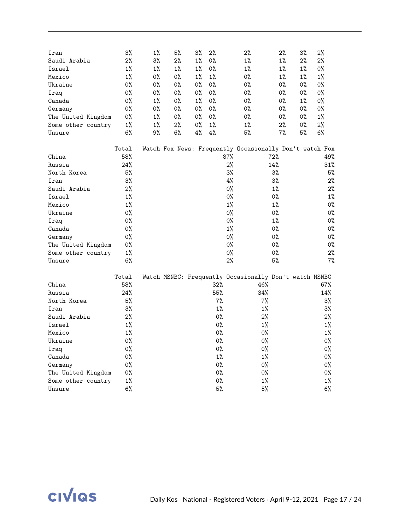| Iran               | 3%    | $1\%$ | 5% | 3%    | 2%    |        | $2\%$                                                   | $2\%$ | $3\%$ | 2%    |
|--------------------|-------|-------|----|-------|-------|--------|---------------------------------------------------------|-------|-------|-------|
| Saudi Arabia       | 2%    | $3\%$ | 2% | $1\%$ | 0%    |        | $1\%$                                                   | 1%    | $2\%$ | $2\%$ |
| Israel             | $1\%$ | $1\%$ | 1% | $1\%$ | 0%    |        | $1\%$                                                   | $1\%$ | $1\%$ | 0%    |
| Mexico             | $1\%$ | 0%    | 0% | $1\%$ | 1%    |        | 0%                                                      | 1%    | $1\%$ | $1\%$ |
| Ukraine            | 0%    | 0%    | 0% | 0%    | 0%    |        | 0%                                                      | 0%    | 0%    | 0%    |
| Iraq               | 0%    | 0%    | 0% | 0%    | 0%    |        | $0\%$                                                   | 0%    | 0%    | 0%    |
| Canada             | 0%    | $1\%$ | 0% | 1%    | 0%    |        | 0%                                                      | 0%    | $1\%$ | 0%    |
| Germany            | $0\%$ | 0%    | 0% | 0%    | 0%    |        | 0%                                                      | 0%    | 0%    | 0%    |
| The United Kingdom | 0%    | $1\%$ | 0% | 0%    | 0%    |        | 0%                                                      | 0%    | 0%    | 1%    |
| Some other country | $1\%$ | $1\%$ | 2% | 0%    | $1\%$ |        | $1\%$                                                   | 2%    | 0%    | $2\%$ |
| Unsure             | 6%    | 9%    | 6% | 4%    | 4%    |        | 5%                                                      | 7%    | 5%    | 6%    |
|                    | Total |       |    |       |       |        | Watch Fox News: Frequently Occasionally Don't watch Fox |       |       |       |
| China              | 58%   |       |    |       |       | $87\%$ |                                                         | 72%   |       | 49%   |
| Russia             | 24%   |       |    |       |       | 2%     |                                                         | 14%   |       | 31%   |
| North Korea        | 5%    |       |    |       |       | 3%     |                                                         | $3\%$ |       | 5%    |
| Iran               | $3\%$ |       |    |       |       | $4\%$  |                                                         | 3%    |       | 2%    |
| Saudi Arabia       | 2%    |       |    |       |       | 0%     |                                                         | $1\%$ |       | 2%    |
| Israel             | $1\%$ |       |    |       |       | 0%     |                                                         | 0%    |       | 1%    |
| Mexico             | $1\%$ |       |    |       |       | $1\%$  |                                                         | $1\%$ |       | 0%    |
| Ukraine            | 0%    |       |    |       |       | 0%     |                                                         | 0%    |       | 0%    |
| Iraq               | 0%    |       |    |       |       | 0%     |                                                         | 1%    |       | 0%    |
| Canada             | $0\%$ |       |    |       |       | $1\%$  |                                                         | $0\%$ |       | 0%    |
| Germany            | 0%    |       |    |       |       | 0%     |                                                         | 0%    |       | 0%    |
| The United Kingdom | 0%    |       |    |       |       | 0%     |                                                         | 0%    |       | 0%    |
| Some other country | $1\%$ |       |    |       |       | 0%     |                                                         | 0%    |       | 2%    |
| Unsure             | 6%    |       |    |       |       | 2%     |                                                         | 5%    |       | $7\%$ |
|                    | Total |       |    |       |       |        | Watch MSNBC: Frequently Occasionally Don't watch MSNBC  |       |       |       |
| China              | 58%   |       |    |       | 32%   |        | 46%                                                     |       |       | 67%   |
| Russia             | 24%   |       |    |       | 55%   |        | 34%                                                     |       |       | 14%   |
| North Korea        | 5%    |       |    |       | 7%    |        | 7%                                                      |       |       | $3\%$ |
| Iran               | $3\%$ |       |    |       | $1\%$ |        | $1\%$                                                   |       |       | $3\%$ |
| Saudi Arabia       | 2%    |       |    |       | 0%    |        | 2%                                                      |       |       | 2%    |
| Israel             | $1\%$ |       |    |       | 0%    |        | $1\%$                                                   |       |       | $1\%$ |
| Mexico             | $1\%$ |       |    |       | 0%    |        | 0%                                                      |       |       | $1\%$ |
| Ukraine            | 0%    |       |    |       | 0%    |        | 0%                                                      |       |       | $0\%$ |
| Iraq               | 0%    |       |    |       | 0%    |        | 0%                                                      |       |       | 0%    |
| Canada             | 0%    |       |    |       | $1\%$ |        | $1\%$                                                   |       |       | 0%    |
| Germany            | 0%    |       |    |       | 0%    |        | 0%                                                      |       |       | 0%    |
| The United Kingdom | 0%    |       |    |       | 0%    |        | 0%                                                      |       |       | 0%    |
| Some other country | $1\%$ |       |    |       | 0%    |        | $1\%$                                                   |       |       | $1\%$ |
| Unsure             | 6%    |       |    |       | 5%    |        | 5%                                                      |       |       | 6%    |

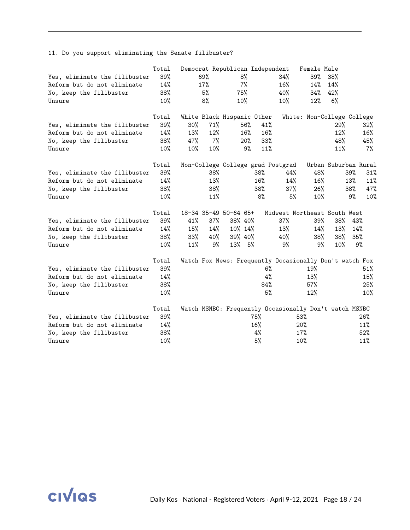11. Do you support eliminating the Senate filibuster?

|                               | Total |        |     |                            |        | Democrat Republican Independent                         | Female Male                |     |                      |
|-------------------------------|-------|--------|-----|----------------------------|--------|---------------------------------------------------------|----------------------------|-----|----------------------|
| Yes, eliminate the filibuster | 39%   |        | 69% | 8%                         |        | 34%                                                     | 39%                        | 38% |                      |
| Reform but do not eliminate   | 14%   |        | 17% |                            | 7%     | 16%                                                     | 14%                        | 14% |                      |
| No, keep the filibuster       | 38%   |        | 5%  | 75%                        |        | 40%                                                     | 34%                        | 42% |                      |
| Unsure                        | 10%   |        | 8%  | 10%                        |        | 10%                                                     | 12%                        | 6%  |                      |
|                               | Total |        |     | White Black Hispanic Other |        |                                                         | White: Non-College College |     |                      |
| Yes, eliminate the filibuster | 39%   | $30\%$ | 71% |                            | 56%    | 41%                                                     |                            | 29% | $32\%$               |
| Reform but do not eliminate   | 14%   | 13%    | 12% |                            | 16%    | 16%                                                     |                            | 12% | 16%                  |
| No, keep the filibuster       | 38%   | 47%    | 7%  |                            | $20\%$ | 33%                                                     |                            | 48% | 45%                  |
| Unsure                        | 10%   | 10%    | 10% |                            | 9%     | 11%                                                     |                            | 11% | 7%                   |
|                               | Total |        |     |                            |        | Non-College College grad Postgrad                       |                            |     | Urban Suburban Rural |
| Yes, eliminate the filibuster | 39%   |        | 38% |                            | 38%    | 44%                                                     | 48%                        |     | 39%<br>31%           |
| Reform but do not eliminate   | 14%   |        | 13% |                            | $16\%$ | 14%                                                     | 16%                        |     | 11%<br>13%           |
| No, keep the filibuster       | 38%   |        | 38% |                            | 38%    | 37%                                                     | 26%                        |     | 38%<br>47%           |
| Unsure                        | 10%   |        | 11% |                            | 8%     | 5%                                                      | 10%                        |     | 10%<br>9%            |
|                               | Total |        |     | 18-34 35-49 50-64 65+      |        | Midwest Northeast South West                            |                            |     |                      |
| Yes, eliminate the filibuster | 39%   | 41%    | 37% | 38% 40%                    |        | 37%                                                     | 39%                        | 38% | 43%                  |
| Reform but do not eliminate   | 14%   | 15%    | 14% | 10% 14%                    |        | 13%                                                     | 14%                        | 13% | 14%                  |
| No, keep the filibuster       | 38%   | 33%    | 40% | 39% 40%                    |        | 40%                                                     | 38%                        | 38% | 35%                  |
| Unsure                        | 10%   | 11%    | 9%  | 13% 5%                     |        | 9%                                                      | 9%                         | 10% | 9%                   |
|                               | Total |        |     |                            |        | Watch Fox News: Frequently Occasionally Don't watch Fox |                            |     |                      |
| Yes, eliminate the filibuster | 39%   |        |     |                            |        | 6%                                                      | 19%                        |     | 51%                  |
| Reform but do not eliminate   | 14%   |        |     |                            |        | 4%                                                      | 13%                        |     | 15%                  |
| No, keep the filibuster       | 38%   |        |     |                            |        | 84%                                                     | 57%                        |     | 25%                  |
| Unsure                        | 10%   |        |     |                            |        | 5%                                                      | 12%                        |     | 10%                  |
|                               | Total |        |     |                            |        | Watch MSNBC: Frequently Occasionally Don't watch MSNBC  |                            |     |                      |
| Yes, eliminate the filibuster | 39%   |        |     |                            | 75%    |                                                         | $53\%$                     |     | 26%                  |
| Reform but do not eliminate   | 14%   |        |     |                            | 16%    |                                                         | 20%                        |     | 11%                  |
| No, keep the filibuster       | 38%   |        |     |                            | 4%     |                                                         | 17%                        |     | 52%                  |
| Unsure                        | 10%   |        |     |                            | 5%     |                                                         | 10%                        |     | 11%                  |

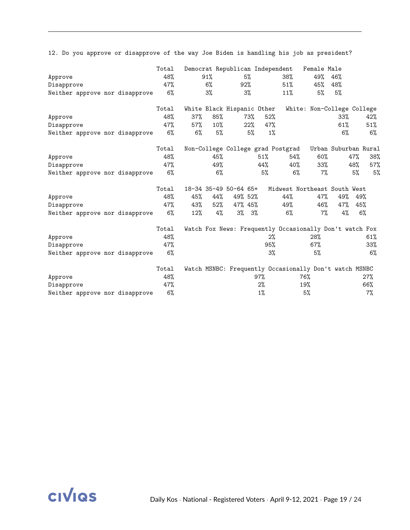|                                | Total |     | Democrat Republican Independent   |         |             |       |                                                         | Female Male |                      |     |       |
|--------------------------------|-------|-----|-----------------------------------|---------|-------------|-------|---------------------------------------------------------|-------------|----------------------|-----|-------|
| Approve                        | 48%   |     | 91%                               |         | 5%          |       | 38%                                                     | 49%         | 46%                  |     |       |
| Disapprove                     | 47%   |     | $6\%$                             | 92%     |             |       | 51%                                                     | 45%         | 48%                  |     |       |
| Neither approve nor disapprove | 6%    |     | 3%                                |         | $3\%$       |       | 11%                                                     | 5%          | 5%                   |     |       |
|                                | Total |     | White Black Hispanic Other        |         |             |       | White: Non-College College                              |             |                      |     |       |
| Approve                        | 48%   | 37% | 85%                               |         | 73%         | 52%   |                                                         |             | 33%                  |     | 42%   |
| Disapprove                     | 47%   | 57% | $10\%$                            |         | 22%         | 47%   |                                                         |             | 61%                  |     | 51%   |
| Neither approve nor disapprove | 6%    | 6%  | 5%                                |         | 5%          | $1\%$ |                                                         |             | 6%                   |     | $6\%$ |
|                                | Total |     | Non-College College grad Postgrad |         |             |       |                                                         |             | Urban Suburban Rural |     |       |
| Approve                        | 48%   |     | 45%                               |         | 51%         |       | 54%                                                     | 60%         |                      | 47% | 38%   |
| Disapprove                     | 47%   |     | 49%                               |         | 44%         |       | 40%                                                     | 33%         |                      | 48% | 57%   |
| Neither approve nor disapprove | 6%    |     | $6\%$                             |         |             | 5%    | $6\%$                                                   | $7\%$       |                      | 5%  | 5%    |
|                                | Total |     | 18-34 35-49 50-64 65+             |         |             |       | Midwest Northeast South West                            |             |                      |     |       |
| Approve                        | 48%   | 45% | 44%                               | 49% 52% |             |       | 44%                                                     | 47%         | 49%                  | 49% |       |
| Disapprove                     | 47%   | 43% | 52%                               | 47% 45% |             |       | 49%                                                     | 46%         | 47%                  | 45% |       |
| Neither approve nor disapprove | 6%    | 12% | 4%                                |         | $3\%$ $3\%$ |       | $6\%$                                                   | $7\%$       | 4%                   |     | 6%    |
|                                | Total |     |                                   |         |             |       | Watch Fox News: Frequently Occasionally Don't watch Fox |             |                      |     |       |
| Approve                        | 48%   |     |                                   |         |             | 2%    |                                                         | 28%         |                      |     | 61%   |
| Disapprove                     | 47%   |     |                                   |         |             | 95%   |                                                         | $67\%$      |                      |     | 33%   |
| Neither approve nor disapprove | 6%    |     |                                   |         |             | 3%    |                                                         | 5%          |                      |     | $6\%$ |
|                                | Total |     |                                   |         |             |       | Watch MSNBC: Frequently Occasionally Don't watch MSNBC  |             |                      |     |       |
| Approve                        | 48%   |     |                                   |         | 97%         |       | 76%                                                     |             |                      |     | 27%   |
| Disapprove                     | 47%   |     |                                   |         | $2\%$       |       | 19%                                                     |             |                      |     | 66%   |
| Neither approve nor disapprove | 6%    |     |                                   |         | $1\%$       |       | 5%                                                      |             |                      |     | $7\%$ |

12. Do you approve or disapprove of the way Joe Biden is handling his job as president?

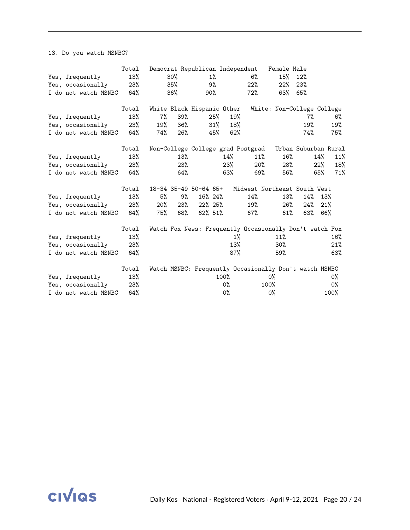13. Do you watch MSNBC?

|                          | Total  |        |        |                            |        |         | Democrat Republican Independent Female Male             |        |                            |        |       |
|--------------------------|--------|--------|--------|----------------------------|--------|---------|---------------------------------------------------------|--------|----------------------------|--------|-------|
| Yes, frequently          | 13%    |        | $30\%$ |                            | 1%     |         | $6\%$                                                   | 15%    | 12%                        |        |       |
| Yes, occasionally        | $23\%$ |        | 35%    |                            | 9%     |         | 22%                                                     | 22%    | 23%                        |        |       |
| I do not watch MSNBC 64% |        |        | 36%    | 90%                        |        |         | 72%                                                     | 63%    | 65%                        |        |       |
|                          | Total  |        |        | White Black Hispanic Other |        |         |                                                         |        | White: Non-College College |        |       |
| Yes, frequently          | 13%    | 7%     | 39%    |                            | 25%    | 19%     |                                                         |        | 7%                         |        | $6\%$ |
| Yes, occasionally        | 23%    | 19%    | 36%    |                            | $31\%$ | 18%     |                                                         |        | 19%                        |        | 19%   |
| I do not watch MSNBC 64% |        | 74%    | 26%    |                            | 45%    | 62%     |                                                         |        | 74%                        |        | 75%   |
|                          | Total  |        |        |                            |        |         | Non-College College grad Postgrad Urban Suburban Rural  |        |                            |        |       |
| Yes, frequently          | 13%    |        | 13%    |                            |        | 14%     | 11%                                                     | $16\%$ |                            | 14%    | 11%   |
| Yes, occasionally        | 23%    |        | 23%    |                            |        | 23%     | $20\%$                                                  | 28%    |                            | $22\%$ | 18%   |
| I do not watch MSNBC 64% |        |        | 64%    |                            |        | 63%     | 69%                                                     | 56%    |                            | 65%    | 71%   |
|                          | Total  |        |        | 18-34 35-49 50-64 65+      |        |         | Midwest Northeast South West                            |        |                            |        |       |
| Yes, frequently          | 13%    | 5%     | 9%     | 16% 24%                    |        |         | 14%                                                     | 13%    | 14%                        | 13%    |       |
| Yes, occasionally        | 23%    | $20\%$ | 23%    | $22\%$ 25%                 |        |         | 19%                                                     | 26%    | 24%                        | 21%    |       |
| I do not watch MSNBC     | 64%    | 75%    | 68%    | 62% 51%                    |        |         | 67%                                                     | $61\%$ | 63%                        | 66%    |       |
|                          | Total  |        |        |                            |        |         | Watch Fox News: Frequently Occasionally Don't watch Fox |        |                            |        |       |
| Yes, frequently          | 13%    |        |        |                            |        | $1\%$   |                                                         | 11%    |                            |        | 16%   |
| Yes, occasionally        | 23%    |        |        |                            |        | 13%     |                                                         | $30\%$ |                            |        | 21%   |
| I do not watch MSNBC     | 64%    |        |        |                            |        | $87\%$  |                                                         | 59%    |                            |        | 63%   |
|                          | Total  |        |        |                            |        |         | Watch MSNBC: Frequently Occasionally Don't watch MSNBC  |        |                            |        |       |
| Yes, frequently          | 13%    |        |        |                            |        | $100\%$ |                                                         | 0%     |                            |        | 0%    |
| Yes, occasionally        | 23%    |        |        |                            |        | 0%      |                                                         | 100%   |                            |        | $0\%$ |
| I do not watch MSNBC     | 64%    |        |        |                            |        | $0\%$   |                                                         | 0%     |                            |        | 100%  |

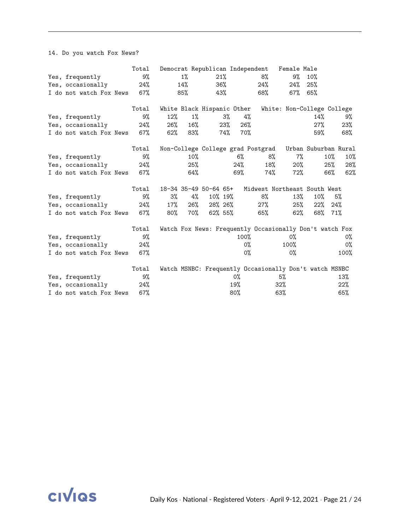14. Do you watch Fox News?

|                         | Total |        |        | Democrat Republican Independent |     |       |                                                         | Female Male                |                      |        |      |
|-------------------------|-------|--------|--------|---------------------------------|-----|-------|---------------------------------------------------------|----------------------------|----------------------|--------|------|
| Yes, frequently         | 9%    |        | $1\%$  | 21%                             |     |       | 8%                                                      | 9%                         | 10%                  |        |      |
| Yes, occasionally       | 24%   |        | 14%    |                                 | 36% |       | 24%                                                     | 24%                        | 25%                  |        |      |
| I do not watch Fox News | 67%   |        | 85%    |                                 | 43% |       | 68%                                                     |                            | $67\%$ $65\%$        |        |      |
|                         | Total |        |        | White Black Hispanic Other      |     |       |                                                         | White: Non-College College |                      |        |      |
| Yes, frequently         | 9%    | 12%    | 1%     |                                 | 3%  | 4%    |                                                         |                            | 14%                  |        | 9%   |
| Yes, occasionally       | 24%   | 26%    | 16%    |                                 | 23% | 26%   |                                                         |                            | 27%                  |        | 23%  |
| I do not watch Fox News | 67%   | $62\%$ | 83%    |                                 | 74% | 70%   |                                                         |                            | 59%                  |        | 68%  |
|                         | Total |        |        |                                 |     |       | Non-College College grad Postgrad                       |                            | Urban Suburban Rural |        |      |
| Yes, frequently         | 9%    |        | $10\%$ |                                 |     | $6\%$ | 8%                                                      | $7\%$                      |                      | $10\%$ | 10%  |
| Yes, occasionally       | 24%   |        | 25%    |                                 |     | 24%   | 18%                                                     | $20\%$                     |                      | 25%    | 28%  |
| I do not watch Fox News | 67%   |        | 64%    |                                 |     | 69%   | 74%                                                     | 72%                        |                      | 66%    | 62%  |
|                         | Total |        |        | 18-34 35-49 50-64 65+           |     |       | Midwest Northeast South West                            |                            |                      |        |      |
| Yes, frequently         | 9%    | 3%     | 4%     | 10% 19%                         |     |       | 8%                                                      | 13%                        | 10%                  |        | 5%   |
| Yes, occasionally       | 24%   | $17\%$ | $26\%$ | 28% 26%                         |     |       | 27%                                                     | 25%                        | $22\%$               | 24%    |      |
| I do not watch Fox News | 67%   | 80%    | 70%    | $62\%$ 55%                      |     |       | 65%                                                     | 62%                        | 68% 71%              |        |      |
|                         | Total |        |        |                                 |     |       | Watch Fox News: Frequently Occasionally Don't watch Fox |                            |                      |        |      |
| Yes, frequently         | 9%    |        |        |                                 |     | 100%  |                                                         | 0%                         |                      |        | 0%   |
| Yes, occasionally       | 24%   |        |        |                                 |     | 0%    |                                                         | 100%                       |                      |        | 0%   |
| I do not watch Fox News | 67%   |        |        |                                 |     | $0\%$ |                                                         | $0\%$                      |                      |        | 100% |
|                         | Total |        |        |                                 |     |       | Watch MSNBC: Frequently Occasionally Don't watch MSNBC  |                            |                      |        |      |
| Yes, frequently         | 9%    |        |        |                                 |     | $0\%$ |                                                         | 5%                         |                      |        | 13%  |
| Yes, occasionally       | 24%   |        |        |                                 |     | 19%   |                                                         | 32%                        |                      |        | 22%  |
| I do not watch Fox News | 67%   |        |        |                                 |     | 80%   |                                                         | 63%                        |                      |        | 65%  |

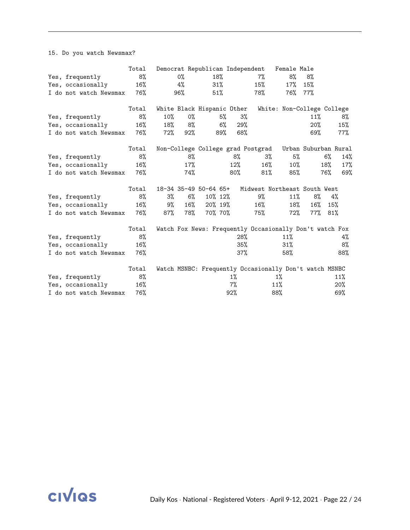15. Do you watch Newsmax?

|                        | Total  |        |       | Democrat Republican Independent |     |        |                                   | Female Male                                             |                      |        |     |
|------------------------|--------|--------|-------|---------------------------------|-----|--------|-----------------------------------|---------------------------------------------------------|----------------------|--------|-----|
| Yes, frequently        | 8%     |        | $0\%$ |                                 | 18% |        | 7%                                | 8%                                                      | 8%                   |        |     |
| Yes, occasionally      | 16%    |        | 4%    |                                 | 31% |        | 15%                               | 17%                                                     | 15%                  |        |     |
| I do not watch Newsmax | 76%    |        | 96%   | 51%                             |     |        | 78%                               | 76%                                                     | $77\%$               |        |     |
|                        | Total  |        |       | White Black Hispanic Other      |     |        |                                   | White: Non-College College                              |                      |        |     |
| Yes, frequently        | 8%     | $10\%$ | $0\%$ |                                 | 5%  | 3%     |                                   |                                                         | 11%                  |        | 8%  |
| Yes, occasionally      | 16%    | 18%    | 8%    |                                 | 6%  | 29%    |                                   |                                                         | 20%                  |        | 15% |
| I do not watch Newsmax | 76%    | 72%    | 92%   |                                 | 89% | 68%    |                                   |                                                         | 69%                  |        | 77% |
|                        | Total  |        |       |                                 |     |        | Non-College College grad Postgrad |                                                         | Urban Suburban Rural |        |     |
| Yes, frequently        | 8%     |        | 8%    |                                 |     | 8%     | $3\%$                             | 5%                                                      |                      | $6\%$  | 14% |
| Yes, occasionally      | 16%    |        | 17%   |                                 |     | $12\%$ | $16\%$                            | 10%                                                     |                      | 18%    | 17% |
| I do not watch Newsmax | 76%    |        | 74%   |                                 |     | 80%    | 81%                               | 85%                                                     |                      | 76%    | 69% |
|                        | Total  |        |       | 18-34 35-49 50-64 65+           |     |        |                                   | Midwest Northeast South West                            |                      |        |     |
| Yes, frequently        | 8%     | 3%     | 6%    | 10% 12%                         |     |        | 9%                                | 11%                                                     | 8%                   | 4%     |     |
| Yes, occasionally      | $16\%$ | 9%     | 16%   | 20% 19%                         |     |        | $16\%$                            | 18%                                                     | 16%                  | 15%    |     |
| I do not watch Newsmax | 76%    | $87\%$ | 78%   | 70% 70%                         |     |        | 75%                               | 72%                                                     | 77%                  | $81\%$ |     |
|                        | Total  |        |       |                                 |     |        |                                   | Watch Fox News: Frequently Occasionally Don't watch Fox |                      |        |     |
| Yes, frequently        | 8%     |        |       |                                 |     | 28%    |                                   | 11%                                                     |                      |        | 4%  |
| Yes, occasionally      | 16%    |        |       |                                 |     | 35%    |                                   | 31%                                                     |                      |        | 8%  |
| I do not watch Newsmax | 76%    |        |       |                                 |     | $37\%$ |                                   | 58%                                                     |                      |        | 88% |
|                        | Total  |        |       |                                 |     |        |                                   | Watch MSNBC: Frequently Occasionally Don't watch MSNBC  |                      |        |     |
| Yes, frequently        | 8%     |        |       |                                 |     | $1\%$  |                                   | $1\%$                                                   |                      |        | 11% |
| Yes, occasionally      | 16%    |        |       |                                 |     | 7%     |                                   | 11%                                                     |                      |        | 20% |
| I do not watch Newsmax | 76%    |        |       |                                 |     | 92%    |                                   | 88%                                                     |                      |        | 69% |

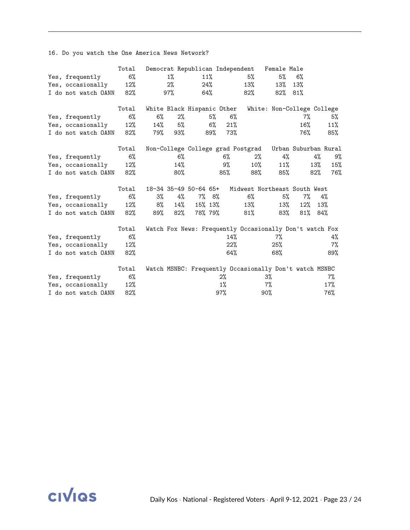16. Do you watch the One America News Network?

|                     | Total |       |        | Democrat Republican Independent |       |       |                                   | Female Male                                             |                      |     |       |
|---------------------|-------|-------|--------|---------------------------------|-------|-------|-----------------------------------|---------------------------------------------------------|----------------------|-----|-------|
| Yes, frequently     | $6\%$ |       | $1\%$  | 11%                             |       |       | 5%                                | 5%                                                      | 6%                   |     |       |
| Yes, occasionally   | 12%   |       | 2%     |                                 | 24%   |       | 13%                               | 13%                                                     | 13%                  |     |       |
| I do not watch OANN | 82%   |       | $97\%$ | 64%                             |       |       | 82%                               | $82\%$                                                  | 81%                  |     |       |
|                     | Total |       |        | White Black Hispanic Other      |       |       |                                   | White: Non-College College                              |                      |     |       |
| Yes, frequently     | 6%    | $6\%$ | 2%     |                                 | 5%    | 6%    |                                   |                                                         | 7%                   |     | 5%    |
| Yes, occasionally   | 12%   | 14%   | 5%     |                                 | $6\%$ | 21%   |                                   |                                                         | 16%                  |     | 11%   |
| I do not watch OANN | 82%   | 79%   | 93%    |                                 | 89%   | 73%   |                                   |                                                         | 76%                  |     | 85%   |
|                     | Total |       |        |                                 |       |       | Non-College College grad Postgrad |                                                         | Urban Suburban Rural |     |       |
| Yes, frequently     | $6\%$ |       | 6%     |                                 |       | $6\%$ | 2%                                | 4%                                                      |                      | 4%  | 9%    |
| Yes, occasionally   | 12%   |       | 14%    |                                 |       | 9%    | 10%                               | $11\%$                                                  |                      | 13% | 15%   |
| I do not watch OANN | 82%   |       | $80\%$ |                                 |       | 85%   | 88%                               | $85\%$                                                  |                      | 82% | 76%   |
|                     | Total |       |        | 18-34 35-49 50-64 65+           |       |       |                                   | Midwest Northeast South West                            |                      |     |       |
| Yes, frequently     | 6%    | $3\%$ | 4%     | 7% 8%                           |       |       | 6%                                | 5%                                                      | $7\%$                |     | 4%    |
| Yes, occasionally   | 12%   | 8%    | 14%    | 15% 13%                         |       |       | 13%                               | 13%                                                     | 12%                  | 13% |       |
| I do not watch OANN | 82%   | 89%   | $82\%$ | 78% 79%                         |       |       | 81%                               | 83%                                                     | 81%                  | 84% |       |
|                     | Total |       |        |                                 |       |       |                                   | Watch Fox News: Frequently Occasionally Don't watch Fox |                      |     |       |
| Yes, frequently     | 6%    |       |        |                                 |       | 14%   |                                   | 7%                                                      |                      |     | 4%    |
| Yes, occasionally   | 12%   |       |        |                                 |       | 22%   |                                   | 25%                                                     |                      |     | $7\%$ |
| I do not watch OANN | 82%   |       |        |                                 |       | 64%   |                                   | 68%                                                     |                      |     | 89%   |
|                     | Total |       |        |                                 |       |       |                                   | Watch MSNBC: Frequently Occasionally Don't watch MSNBC  |                      |     |       |
| Yes, frequently     | 6%    |       |        |                                 |       | $2\%$ |                                   | 3%                                                      |                      |     | $7\%$ |
| Yes, occasionally   | 12%   |       |        |                                 |       | $1\%$ |                                   | $7\%$                                                   |                      |     | 17%   |
| I do not watch OANN | 82%   |       |        |                                 |       | 97%   |                                   | 90%                                                     |                      |     | 76%   |